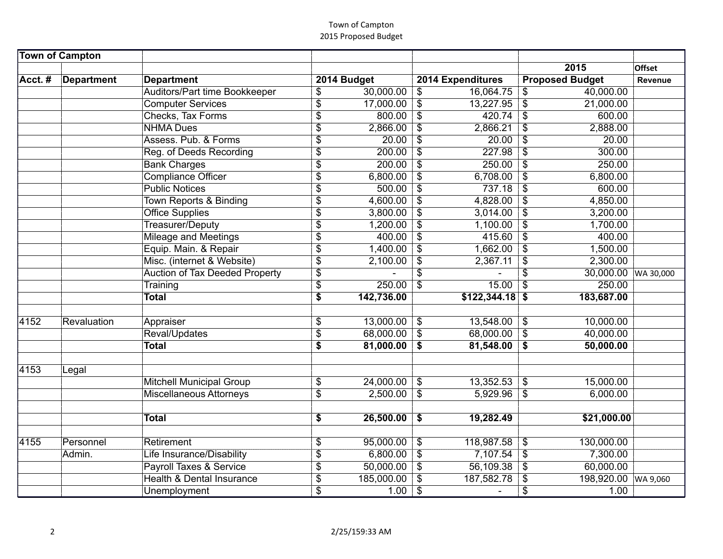|      |             | Auditors/Part time Bookkeeper         | \$                               | 30,000.00  | $\sqrt{2}$                | 16,064.75        | \$                         | 40,000.00   |           |
|------|-------------|---------------------------------------|----------------------------------|------------|---------------------------|------------------|----------------------------|-------------|-----------|
|      |             | <b>Computer Services</b>              | $\overline{\$}$                  | 17,000.00  | $\overline{\$}$           | 13,227.95        | $\overline{\$}$            | 21,000.00   |           |
|      |             | Checks, Tax Forms                     | \$                               | 800.00     | $\overline{\mathcal{S}}$  | 420.74           | $\boldsymbol{\mathsf{S}}$  | 600.00      |           |
|      |             | <b>NHMA Dues</b>                      | \$                               | 2,866.00   | $\sqrt[6]{\frac{1}{2}}$   | 2,866.21         | \$                         | 2,888.00    |           |
|      |             | Assess, Pub. & Forms                  | $\overline{\$}$                  | 20.00      | $\overline{\$}$           | 20.00            | $\overline{\$}$            | 20.00       |           |
|      |             | Reg. of Deeds Recording               | $\overline{\$}$                  | 200.00     | $\overline{\$}$           | 227.98           | $\overline{\mathcal{S}}$   | 300.00      |           |
|      |             | <b>Bank Charges</b>                   | $\overline{\$}$                  | 200.00     | $\overline{\$}$           | 250.00           | $\overline{\$}$            | 250.00      |           |
|      |             | <b>Compliance Officer</b>             | \$                               | 6,800.00   | $\overline{\$}$           | 6,708.00         | $\overline{\mathcal{S}}$   | 6,800.00    |           |
|      |             | <b>Public Notices</b>                 | $\overline{\$}$                  | 500.00     | $\overline{\mathcal{S}}$  | 737.18           | $\overline{\mathcal{S}}$   | 600.00      |           |
|      |             | <b>Town Reports &amp; Binding</b>     | $\overline{\$}$                  | 4,600.00   | \$                        | 4,828.00         | $\overline{\mathcal{S}}$   | 4,850.00    |           |
|      |             | <b>Office Supplies</b>                | \$                               | 3,800.00   | $\overline{\$}$           | 3,014.00         | $\overline{\$}$            | 3,200.00    |           |
|      |             | Treasurer/Deputy                      | \$                               | 1,200.00   | $\boldsymbol{\mathsf{S}}$ | 1,100.00         | $\boldsymbol{\mathsf{S}}$  | 1,700.00    |           |
|      |             | <b>Mileage and Meetings</b>           | \$                               | 400.00     | $\overline{\$}$           | 415.60           | $\overline{\mathcal{S}}$   | 400.00      |           |
|      |             | Equip. Main. & Repair                 | $\overline{\$}$                  | 1,400.00   | $\overline{\$}$           | 1,662.00         | $\overline{\mathcal{S}}$   | 1,500.00    |           |
|      |             | Misc. (internet & Website)            | $\overline{\$}$                  | 2,100.00   | $\overline{\$}$           | 2,367.11         | \$                         | 2,300.00    |           |
|      |             | <b>Auction of Tax Deeded Property</b> | $\overline{\boldsymbol{\theta}}$ |            | \$                        |                  | \$                         | 30,000.00   | WA 30,000 |
|      |             | Training                              | $\overline{\$}$                  | 250.00     | $\overline{\mathcal{S}}$  | 15.00            | $\overline{\mathcal{S}}$   | 250.00      |           |
|      |             | <b>Total</b>                          | $\overline{\mathbf{s}}$          | 142,736.00 |                           | $$122,344.18$ \$ |                            | 183,687.00  |           |
|      |             |                                       |                                  |            |                           |                  |                            |             |           |
| 4152 | Revaluation | Appraiser                             | \$                               | 13,000.00  | $\sqrt[6]{\frac{1}{2}}$   | 13,548.00        | $\boldsymbol{\mathsf{\$}}$ | 10,000.00   |           |
|      |             | Reval/Updates                         | $\overline{\$}$                  | 68,000.00  | $\overline{\mathcal{S}}$  | $68,000.00$ \$   |                            | 40,000.00   |           |
|      |             | <b>Total</b>                          | \$                               | 81,000.00  | \$                        | 81,548.00        | \$                         | 50,000.00   |           |
| 4153 | Legal       |                                       |                                  |            |                           |                  |                            |             |           |
|      |             | <b>Mitchell Municipal Group</b>       | \$                               | 24,000.00  | $\$\$                     | 13,352.53        | $\boldsymbol{\mathsf{S}}$  | 15,000.00   |           |
|      |             | <b>Miscellaneous Attorneys</b>        | $\overline{\$}$                  | 2,500.00   | $\mathbb{S}$              | 5,929.96         | $\overline{\mathcal{S}}$   | 6,000.00    |           |
|      |             |                                       |                                  |            |                           |                  |                            |             |           |
|      |             | <b>Total</b>                          | \$                               | 26,500.00  | \$                        | 19,282.49        |                            | \$21,000.00 |           |
| 4155 | Personnel   | Retirement                            | \$                               | 95,000.00  | $\overline{\$}$           | 118,987.58       | $\sqrt{3}$                 | 130,000.00  |           |
|      | Admin.      | Life Insurance/Disability             | $\overline{\$}$                  | 6,800.00   | $\overline{\$}$           | 7,107.54         | $\boldsymbol{\mathsf{\$}}$ | 7,300.00    |           |
|      |             | <b>Payroll Taxes &amp; Service</b>    | \$                               | 50,000.00  | $\boldsymbol{\mathsf{S}}$ | 56,109.38        | $\sqrt[6]{3}$              | 60,000.00   |           |
|      |             | <b>Health &amp; Dental Insurance</b>  | \$                               | 185,000.00 | $\sqrt{3}$                | 187,582.78       | \$                         | 198,920.00  | WA 9,060  |
|      |             | Unemployment                          | $\overline{\$}$                  | 1.00       | $\boldsymbol{\mathsf{S}}$ |                  | \$                         | 1.00        |           |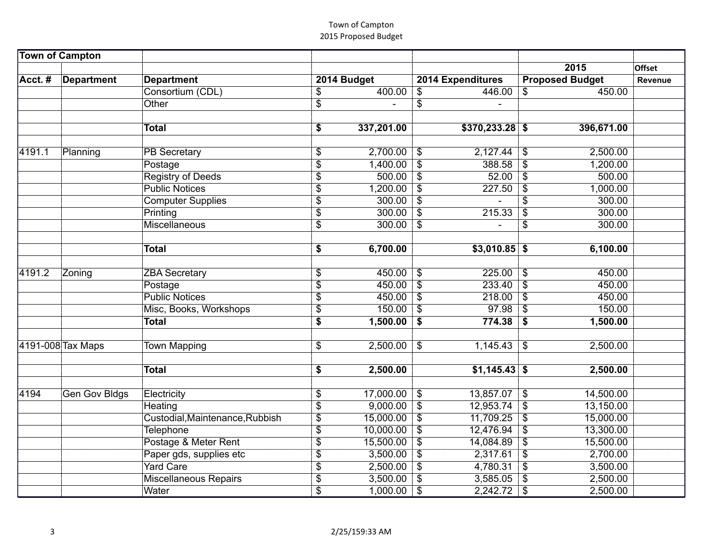|        |                      | Consortium (CDL)                | \$              | 400.00     | $\$\$                     | $446.00$ \\$     |                            | 450.00     |  |
|--------|----------------------|---------------------------------|-----------------|------------|---------------------------|------------------|----------------------------|------------|--|
|        |                      | Other                           | $\overline{\$}$ |            | $\overline{\$}$           |                  |                            |            |  |
|        |                      |                                 |                 |            |                           |                  |                            |            |  |
|        |                      | <b>Total</b>                    | \$              | 337,201.00 |                           | $$370,233.28$ \$ |                            | 396,671.00 |  |
|        |                      |                                 |                 |            |                           |                  |                            |            |  |
| 4191.1 | Planning             | <b>PB</b> Secretary             | \$              | 2,700.00   | $\$\$                     | 2,127.44         | $\boldsymbol{\mathcal{F}}$ | 2,500.00   |  |
|        |                      | Postage                         | \$              | 1,400.00   | $\sqrt[6]{\frac{1}{2}}$   | $388.58$ \$      |                            | 1,200.00   |  |
|        |                      | <b>Registry of Deeds</b>        | \$              | 500.00     | $\boldsymbol{\mathsf{s}}$ | 52.00            | \$                         | 500.00     |  |
|        |                      | <b>Public Notices</b>           | $\overline{\$}$ | 1,200.00   | $\boldsymbol{\mathsf{S}}$ | 227.50           | $\boldsymbol{\mathsf{\$}}$ | 1,000.00   |  |
|        |                      | <b>Computer Supplies</b>        | $\overline{\$}$ | 300.00     | $\mathcal{S}$             |                  | \$                         | 300.00     |  |
|        |                      | Printing                        | \$              | 300.00     | $\overline{\$}$           | 215.33           | $\overline{\mathcal{S}}$   | 300.00     |  |
|        |                      | Miscellaneous                   | $\overline{\$}$ | 300.00     | $\overline{\$}$           |                  | \$                         | 300.00     |  |
|        |                      |                                 |                 |            |                           |                  |                            |            |  |
|        |                      | <b>Total</b>                    | \$              | 6,700.00   |                           | $$3,010.85$ \$   |                            | 6,100.00   |  |
|        |                      |                                 |                 |            |                           |                  |                            |            |  |
| 4191.2 | Zoning               | <b>ZBA Secretary</b>            | \$              | 450.00     | \$                        | 225.00           | $\mathfrak{F}$             | 450.00     |  |
|        |                      | Postage                         | \$              | 450.00     | $\overline{\$}$           | 233.40           | $\overline{\mathcal{S}}$   | 450.00     |  |
|        |                      | <b>Public Notices</b>           | \$              | 450.00     | $\overline{\$}$           | 218.00           | $\overline{\mathcal{S}}$   | 450.00     |  |
|        |                      | Misc, Books, Workshops          | $\overline{\$}$ | 150.00     | $\overline{\mathcal{S}}$  | 97.98            | \$                         | 150.00     |  |
|        |                      | <b>Total</b>                    | \$              | 1,500.00   | \$                        | 774.38           | \$                         | 1,500.00   |  |
|        | 4191-008 Tax Maps    | <b>Town Mapping</b>             | \$              | 2,500.00   | \$                        | 1,145.43         | $\mathfrak{L}$             | 2,500.00   |  |
|        |                      |                                 |                 |            |                           |                  |                            |            |  |
|        |                      | <b>Total</b>                    | \$              | 2,500.00   |                           | $$1,145.43$ \$   |                            | 2,500.00   |  |
|        |                      |                                 |                 |            |                           |                  |                            |            |  |
| 4194   | <b>Gen Gov Bldgs</b> | Electricity                     | \$              | 17,000.00  | \$                        | $13,857.07$ \\$  |                            | 14,500.00  |  |
|        |                      | Heating                         | \$              | 9,000.00   | $\overline{\$}$           | $12,953.74$ \\$  |                            | 13,150.00  |  |
|        |                      | Custodial, Maintenance, Rubbish | $\overline{\$}$ | 15,000.00  | $\overline{\$}$           | $11,709.25$ \$   |                            | 15,000.00  |  |
|        |                      | Telephone                       | \$              | 10,000.00  | $\sqrt[6]{\frac{1}{2}}$   | 12,476.94        | $\sqrt[6]{3}$              | 13,300.00  |  |
|        |                      | Postage & Meter Rent            | $\overline{\$}$ | 15,500.00  | $\overline{\$}$           | 14,084.89        | $\overline{\mathcal{S}}$   | 15,500.00  |  |
|        |                      | Paper gds, supplies etc         | $\overline{\$}$ | 3,500.00   | $\overline{\$}$           | 2,317.61         | $\overline{\mathcal{S}}$   | 2,700.00   |  |
|        |                      | <b>Yard Care</b>                | \$              | 2,500.00   | $\mathfrak{S}$            | $4,780.31$ \$    |                            | 3,500.00   |  |
|        |                      | <b>Miscellaneous Repairs</b>    | $\overline{\$}$ | 3,500.00   | $\overline{\mathcal{S}}$  | $3,585.05$ \$    |                            | 2,500.00   |  |
|        |                      | Water                           | $\overline{\$}$ | 1,000.00   | $\boldsymbol{\mathsf{S}}$ | 2,242.72         | $\sqrt{3}$                 | 2,500.00   |  |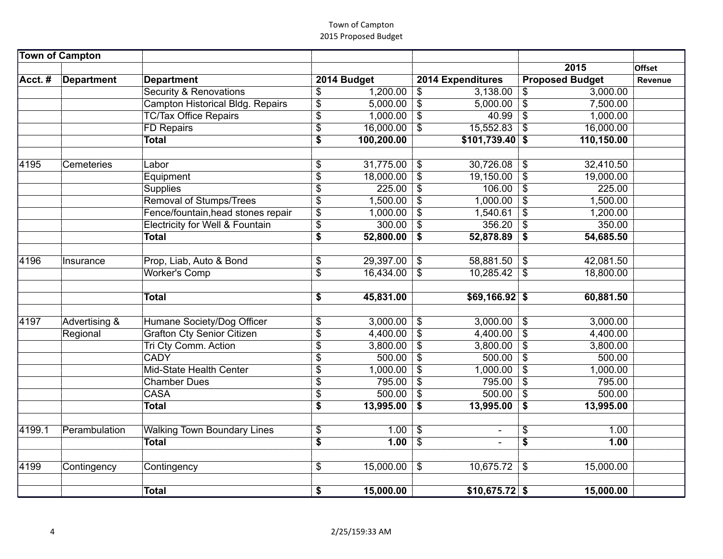|        |               | <b>Security &amp; Renovations</b>          | \$                       | 1,200.00   | $\sqrt[3]{\frac{1}{2}}$   | $3,138.00$ \$    |                           | 3,000.00   |  |
|--------|---------------|--------------------------------------------|--------------------------|------------|---------------------------|------------------|---------------------------|------------|--|
|        |               | <b>Campton Historical Bldg. Repairs</b>    | $\overline{\$}$          | 5,000.00   | $\overline{\mathcal{L}}$  | 5,000.00         | $\overline{\mathcal{S}}$  | 7,500.00   |  |
|        |               | <b>TC/Tax Office Repairs</b>               | \$                       | 1,000.00   | $\boldsymbol{\mathsf{S}}$ | 40.99            | \$                        | 1,000.00   |  |
|        |               | <b>FD Repairs</b>                          | \$                       | 16,000.00  | $\overline{\$}$           | 15,552.83        | $\overline{\$}$           | 16,000.00  |  |
|        |               | <b>Total</b>                               | \$                       | 100,200.00 |                           | $$101,739.40$ \$ |                           | 110,150.00 |  |
|        |               |                                            |                          |            |                           |                  |                           |            |  |
| 4195   | Cemeteries    | Labor                                      | \$                       | 31,775.00  | $\frac{1}{2}$             | 30,726.08        | \$                        | 32,410.50  |  |
|        |               | Equipment                                  | $\overline{\$}$          | 18,000.00  | $\overline{\$}$           | 19,150.00        | $\overline{\$}$           | 19,000.00  |  |
|        |               | <b>Supplies</b>                            | \$                       | 225.00     | $\overline{\$}$           | 106.00           | $\overline{\$}$           | 225.00     |  |
|        |               | <b>Removal of Stumps/Trees</b>             | $\overline{\$}$          | 1,500.00   | $\overline{\$}$           | 1,000.00         | $\overline{\$}$           | 1,500.00   |  |
|        |               | Fence/fountain, head stones repair         | $\overline{\$}$          | 1,000.00   | $\overline{\$}$           | 1,540.61         | $\overline{\$}$           | 1,200.00   |  |
|        |               | <b>Electricity for Well &amp; Fountain</b> | \$                       | 300.00     | $\$\$                     | 356.20           | \$                        | 350.00     |  |
|        |               | <b>Total</b>                               | \$                       | 52,800.00  | \$                        | 52,878.89        | \$                        | 54,685.50  |  |
|        |               |                                            |                          |            |                           |                  |                           |            |  |
| 4196   | Insurance     | Prop, Liab, Auto & Bond                    | \$                       | 29,397.00  | $\sqrt{3}$                | $58,881.50$ \$   |                           | 42,081.50  |  |
|        |               | <b>Worker's Comp</b>                       | $\overline{\mathcal{S}}$ | 16,434.00  | $\overline{\mathbf{s}}$   | $10,285.42$ \$   |                           | 18,800.00  |  |
|        |               |                                            |                          |            |                           |                  |                           |            |  |
|        |               | <b>Total</b>                               | \$                       | 45,831.00  |                           | $$69,166.92$ \$  |                           | 60,881.50  |  |
|        |               |                                            |                          |            |                           |                  |                           |            |  |
| 4197   | Advertising & | Humane Society/Dog Officer                 | \$                       | 3,000.00   | $\sqrt[6]{\frac{1}{2}}$   | 3,000.00         | $\sqrt{3}$                | 3,000.00   |  |
|        | Regional      | <b>Grafton Cty Senior Citizen</b>          | \$                       | 4,400.00   | $\overline{\$}$           | 4,400.00         | $\overline{\mathfrak{s}}$ | 4,400.00   |  |
|        |               | <b>Tri Cty Comm. Action</b>                | \$                       | 3,800.00   | \$                        | 3,800.00         | $\overline{\mathcal{E}}$  | 3,800.00   |  |
|        |               | <b>CADY</b>                                | $\overline{\$}$          | 500.00     | $\overline{\mathcal{S}}$  | 500.00           | $\overline{\mathcal{S}}$  | 500.00     |  |
|        |               | Mid-State Health Center                    | \$                       | 1,000.00   | $\overline{\$}$           | 1,000.00         | $\overline{\$}$           | 1,000.00   |  |
|        |               | <b>Chamber Dues</b>                        | \$                       | 795.00     | $\overline{\$}$           | 795.00           | $\overline{\mathcal{S}}$  | 795.00     |  |
|        |               | <b>CASA</b>                                | \$                       | 500.00     | $\overline{\$}$           | 500.00           | $\overline{\$}$           | 500.00     |  |
|        |               | <b>Total</b>                               | $\overline{\$}$          | 13,995.00  | $\overline{\$}$           | 13,995.00        | $\overline{\mathbf{S}}$   | 13,995.00  |  |
|        |               |                                            |                          |            |                           |                  |                           |            |  |
| 4199.1 | Perambulation | <b>Walking Town Boundary Lines</b>         | $\sqrt{2}$               | 1.00       | $\overline{\$}$           |                  | \$                        | 1.00       |  |
|        |               | <b>Total</b>                               | \$                       | 1.00       | $\overline{\$}$           |                  | $\overline{\mathbf{s}}$   | 1.00       |  |
|        |               |                                            |                          |            |                           |                  |                           |            |  |
| 4199   | Contingency   | Contingency                                | \$                       | 15,000.00  | $\mathfrak{F}$            | 10,675.72        | $\mathfrak{S}$            | 15,000.00  |  |
|        |               |                                            |                          |            |                           |                  |                           |            |  |
|        |               | <b>Total</b>                               | \$                       | 15,000.00  |                           | \$10,675.72\$    |                           | 15,000.00  |  |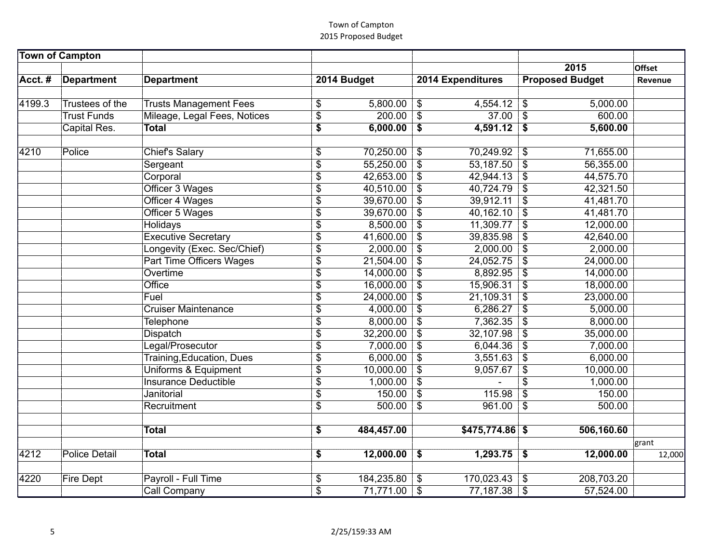| 4199.3 | Trustees of the      | <b>Trusts Management Fees</b>    | \$              | 5,800.00   | $\boldsymbol{\mathsf{\$}}$ | 4,554.12         | \$                        | 5,000.00   |        |
|--------|----------------------|----------------------------------|-----------------|------------|----------------------------|------------------|---------------------------|------------|--------|
|        | <b>Trust Funds</b>   | Mileage, Legal Fees, Notices     | $\overline{\$}$ | 200.00     | $\overline{\mathcal{S}}$   | 37.00            | $\boldsymbol{\mathsf{s}}$ | 600.00     |        |
|        | Capital Res.         | <b>Total</b>                     | \$              | 6,000.00   | \$                         | $4,591.12$ \$    |                           | 5,600.00   |        |
|        |                      |                                  |                 |            |                            |                  |                           |            |        |
| 4210   | Police               | <b>Chief's Salary</b>            | \$              | 70,250.00  | $\boldsymbol{\mathsf{\$}}$ | 70,249.92        | $\mathfrak{F}$            | 71,655.00  |        |
|        |                      | Sergeant                         | $\overline{\$}$ | 55,250.00  | $\overline{\mathcal{S}}$   | 53,187.50        | $\overline{\mathcal{S}}$  | 56,355.00  |        |
|        |                      | Corporal                         | $\overline{\$}$ | 42,653.00  | $\overline{\mathcal{S}}$   | $42,944.13$ \$   |                           | 44,575.70  |        |
|        |                      | Officer 3 Wages                  | $\overline{\$}$ | 40,510.00  | $\overline{\$}$            | 40,724.79        | $\overline{\$}$           | 42,321.50  |        |
|        |                      | Officer 4 Wages                  | $\overline{\$}$ | 39,670.00  | $\overline{\$}$            | 39,912.11        | $\overline{\$}$           | 41,481.70  |        |
|        |                      | Officer 5 Wages                  | $\overline{\$}$ | 39,670.00  | $\overline{\$}$            | 40,162.10        | $\overline{\$}$           | 41,481.70  |        |
|        |                      | Holidays                         | \$              | 8,500.00   | $\overline{\$}$            | 11,309.77        | $\boldsymbol{\mathsf{S}}$ | 12,000.00  |        |
|        |                      | <b>Executive Secretary</b>       | $\overline{\$}$ | 41,600.00  | $\overline{\mathcal{S}}$   | 39,835.98        | $\boldsymbol{\mathsf{S}}$ | 42,640.00  |        |
|        |                      | Longevity (Exec. Sec/Chief)      | \$              | 2,000.00   | $\overline{\$}$            | 2,000.00         | $\sqrt{3}$                | 2,000.00   |        |
|        |                      | <b>Part Time Officers Wages</b>  | \$              | 21,504.00  | \$                         | 24,052.75        | $\boldsymbol{\mathsf{S}}$ | 24,000.00  |        |
|        |                      | Overtime                         | \$              | 14,000.00  | $\overline{\mathcal{S}}$   | 8,892.95         | \$                        | 14,000.00  |        |
|        |                      | Office                           | $\overline{\$}$ | 16,000.00  | $\overline{\$}$            | 15,906.31        | $\overline{\$}$           | 18,000.00  |        |
|        |                      | Fuel                             | $\overline{\$}$ | 24,000.00  | $\overline{\$}$            | 21,109.31        | $\overline{\$}$           | 23,000.00  |        |
|        |                      | <b>Cruiser Maintenance</b>       | \$              | 4,000.00   | $\overline{\mathcal{S}}$   | 6,286.27         | $\boldsymbol{\mathsf{S}}$ | 5,000.00   |        |
|        |                      | <b>Telephone</b>                 | $\overline{\$}$ | 8,000.00   | $\overline{\$}$            | 7,362.35         | $\sqrt{3}$                | 8,000.00   |        |
|        |                      | <b>Dispatch</b>                  | $\overline{\$}$ | 32,200.00  | $\overline{\$}$            | 32,107.98        | $\overline{\$}$           | 35,000.00  |        |
|        |                      | Legal/Prosecutor                 | \$              | 7,000.00   | $\boldsymbol{\mathsf{S}}$  | 6,044.36         | $\overline{\mathcal{S}}$  | 7,000.00   |        |
|        |                      | <b>Training, Education, Dues</b> | $\overline{\$}$ | 6,000.00   | $\sqrt[6]{\frac{1}{2}}$    | 3,551.63         | $\mathfrak{s}$            | 6,000.00   |        |
|        |                      | Uniforms & Equipment             | $\overline{\$}$ | 10,000.00  | $\overline{\$}$            | 9,057.67         | $\overline{\$}$           | 10,000.00  |        |
|        |                      | <b>Insurance Deductible</b>      | $\overline{\$}$ | 1,000.00   | $\boldsymbol{\mathsf{\$}}$ |                  | \$                        | 1,000.00   |        |
|        |                      | Janitorial                       | $\overline{\$}$ | 150.00     | $\overline{\$}$            | 115.98           | $\overline{\$}$           | 150.00     |        |
|        |                      | Recruitment                      | $\overline{\$}$ | 500.00     | $\overline{\$}$            | 961.00           | $\overline{\mathcal{S}}$  | 500.00     |        |
|        |                      |                                  |                 |            |                            |                  |                           |            |        |
|        |                      | <b>Total</b>                     | \$              | 484,457.00 |                            | $$475,774.86$ \$ |                           | 506,160.60 | grant  |
| 4212   | <b>Police Detail</b> | <b>Total</b>                     | \$              | 12,000.00  | \$                         | 1,293.75         | \$                        | 12,000.00  | 12,000 |
|        |                      |                                  |                 |            |                            |                  |                           |            |        |
| 4220   | <b>Fire Dept</b>     | Payroll - Full Time              | \$              | 184,235.80 | $\sqrt[3]{\frac{1}{2}}$    | 170,023.43       | \$                        | 208,703.20 |        |
|        |                      | <b>Call Company</b>              | \$              | 71,771.00  | \$                         | 77,187.38        | -\$                       | 57,524.00  |        |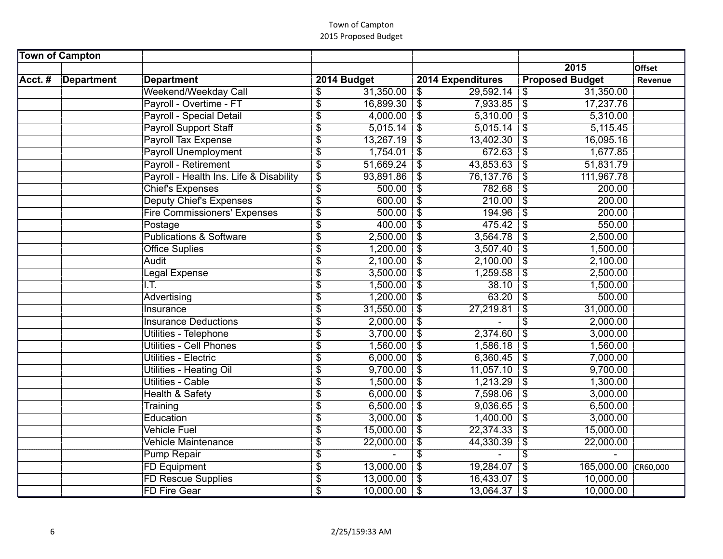| Weekend/Weekday Call                    | \$                        | 31,350.00 | \$                         | 29,592.14 | \$                               | 31,350.00              |
|-----------------------------------------|---------------------------|-----------|----------------------------|-----------|----------------------------------|------------------------|
| Payroll - Overtime - FT                 | $\overline{\$}$           | 16,899.30 | $\overline{\$}$            | 7,933.85  | \$                               | 17,237.76              |
| Payroll - Special Detail                | \$                        | 4,000.00  | $\boldsymbol{\mathcal{F}}$ | 5,310.00  | $\boldsymbol{\mathsf{s}}$        | 5,310.00               |
| <b>Payroll Support Staff</b>            | $\overline{\$}$           | 5,015.14  | $\overline{\$}$            | 5,015.14  | $\overline{\mathcal{S}}$         | 5,115.45               |
| <b>Payroll Tax Expense</b>              | \$                        | 13,267.19 | $\boldsymbol{\mathsf{S}}$  | 13,402.30 | $\boldsymbol{\mathsf{S}}$        | 16,095.16              |
| <b>Payroll Unemployment</b>             | \$                        | 1,754.01  | $\boldsymbol{\mathsf{s}}$  | 672.63    | $\boldsymbol{\mathsf{S}}$        | 1,677.85               |
| <b>Payroll - Retirement</b>             | $\overline{\$}$           | 51,669.24 | $\mathfrak{s}$             | 43,853.63 | $\overline{\mathcal{S}}$         | 51,831.79              |
| Payroll - Health Ins. Life & Disability | $\overline{\$}$           | 93,891.86 | $\overline{\$}$            | 76,137.76 | $\overline{\mathcal{S}}$         | 111,967.78             |
| <b>Chief's Expenses</b>                 | $\overline{\$}$           | 500.00    | $\overline{\$}$            | 782.68    | $\overline{\mathcal{S}}$         | 200.00                 |
| <b>Deputy Chief's Expenses</b>          | $\overline{\$}$           | 600.00    | $\overline{\$}$            | 210.00    | $\overline{\mathcal{S}}$         | 200.00                 |
| <b>Fire Commissioners' Expenses</b>     | $\overline{\$}$           | 500.00    | $\overline{\$}$            | 194.96    | $\overline{\mathcal{S}}$         | 200.00                 |
| Postage                                 | \$                        | 400.00    | $\boldsymbol{\mathsf{S}}$  | 475.42    | \$                               | 550.00                 |
| <b>Publications &amp; Software</b>      | $\boldsymbol{\mathsf{S}}$ | 2,500.00  | $\boldsymbol{\mathsf{S}}$  | 3,564.78  | $\boldsymbol{\mathsf{S}}$        | 2,500.00               |
| <b>Office Suplies</b>                   | $\overline{\$}$           | 1,200.00  | $\sqrt{3}$                 | 3,507.40  | $\overline{\mathcal{S}}$         | 1,500.00               |
| Audit                                   | \$                        | 2,100.00  | $\frac{1}{2}$              | 2,100.00  | $\boldsymbol{\mathsf{S}}$        | 2,100.00               |
| Legal Expense                           | \$                        | 3,500.00  | $\boldsymbol{\mathsf{S}}$  | 1,259.58  | $\overline{\boldsymbol{\theta}}$ | 2,500.00               |
| I.T.                                    | \$                        | 1,500.00  | $\overline{\$}$            | 38.10     | $\boldsymbol{\mathsf{S}}$        | 1,500.00               |
| Advertising                             | \$                        | 1,200.00  | $\overline{\$}$            | 63.20     | $\overline{\mathcal{S}}$         | 500.00                 |
| Insurance                               | \$                        | 31,550.00 | $\boldsymbol{\mathsf{S}}$  | 27,219.81 | \$                               | 31,000.00              |
| <b>Insurance Deductions</b>             | $\sqrt{3}$                | 2,000.00  | $\boldsymbol{\mathsf{S}}$  |           | \$                               | 2,000.00               |
| Utilities - Telephone                   | $\overline{\$}$           | 3,700.00  | $\overline{\mathcal{S}}$   | 2,374.60  | $\overline{\mathcal{S}}$         | 3,000.00               |
| <b>Utilities - Cell Phones</b>          | $\overline{\$}$           | 1,560.00  | $\boldsymbol{\mathsf{S}}$  | 1,586.18  | $\boldsymbol{\mathsf{S}}$        | 1,560.00               |
| Utilities - Electric                    | $\overline{\$}$           | 6,000.00  | $\boldsymbol{\mathsf{S}}$  | 6,360.45  | $\boldsymbol{\mathsf{S}}$        | 7,000.00               |
| Utilities - Heating Oil                 | $\overline{\$}$           | 9,700.00  | $\boldsymbol{\mathsf{S}}$  | 11,057.10 | $\overline{\mathcal{S}}$         | 9,700.00               |
| <b>Utilities - Cable</b>                | \$                        | 1,500.00  | $\boldsymbol{\mathsf{S}}$  | 1,213.29  | $\boldsymbol{\mathsf{S}}$        | 1,300.00               |
| <b>Health &amp; Safety</b>              | \$                        | 6,000.00  | $\boldsymbol{\mathsf{S}}$  | 7,598.06  | $\boldsymbol{\mathsf{S}}$        | 3,000.00               |
| Training                                | \$                        | 6,500.00  | $\overline{\$}$            | 9,036.65  | $\overline{\$}$                  | 6,500.00               |
| Education                               | \$                        | 3,000.00  | $\boldsymbol{\mathsf{S}}$  | 1,400.00  | $\overline{\$}$                  | 3,000.00               |
| <b>Vehicle Fuel</b>                     | \$                        | 15,000.00 | $\overline{\$}$            | 22,374.33 | $\sqrt{3}$                       | 15,000.00              |
| <b>Vehicle Maintenance</b>              | \$                        | 22,000.00 | $\overline{\$}$            | 44,330.39 | \$                               | 22,000.00              |
| <b>Pump Repair</b>                      | \$                        |           | \$                         |           | \$                               |                        |
| <b>FD Equipment</b>                     | \$                        | 13,000.00 | \$                         | 19,284.07 | \$                               | 165,000.00<br>CR60,000 |
| FD Rescue Supplies                      | $\overline{\$}$           | 13,000.00 | \$                         | 16,433.07 | \$                               | 10,000.00              |
| <b>FD Fire Gear</b>                     | \$                        | 10,000.00 | $\boldsymbol{\mathsf{\$}}$ | 13,064.37 | $\boldsymbol{\mathsf{s}}$        | 10,000.00              |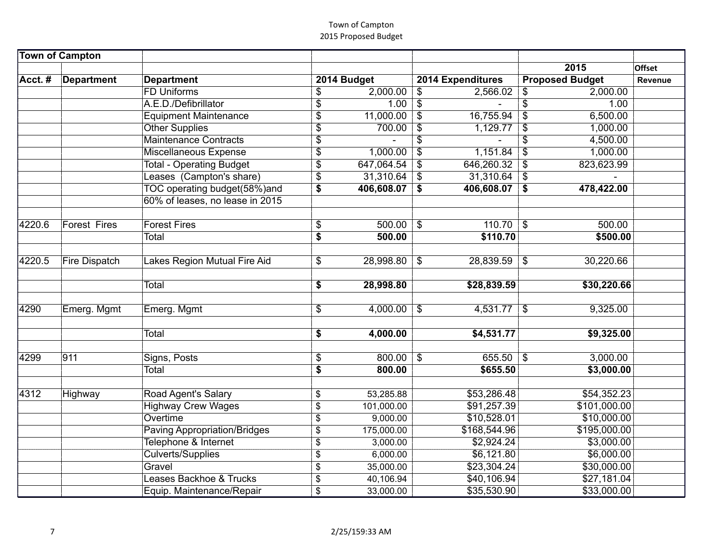|        |                      | <b>FD Uniforms</b>                  | \$              | 2,000.00   | $\frac{1}{2}$             | $2,566.02$ \$  |                           | 2,000.00     |
|--------|----------------------|-------------------------------------|-----------------|------------|---------------------------|----------------|---------------------------|--------------|
|        |                      | A.E.D./Defibrillator                | $\overline{\$}$ | 1.00       | $\overline{\mathcal{L}}$  |                | \$                        | 1.00         |
|        |                      | <b>Equipment Maintenance</b>        | \$              | 11,000.00  | $\overline{\mathcal{S}}$  | 16,755.94      | $\boldsymbol{\mathsf{S}}$ | 6,500.00     |
|        |                      | <b>Other Supplies</b>               | $\overline{\$}$ | 700.00     | $\overline{\$}$           | 1,129.77       | $\frac{1}{2}$             | 1,000.00     |
|        |                      | <b>Maintenance Contracts</b>        | $\overline{\$}$ |            | \$                        |                | $\overline{\$}$           | 4,500.00     |
|        |                      | Miscellaneous Expense               | $\overline{\$}$ | 1,000.00   | $\overline{\$}$           | 1,151.84       | \$                        | 1,000.00     |
|        |                      | <b>Total - Operating Budget</b>     | \$              | 647,064.54 | \$                        | 646,260.32     | $\boldsymbol{\mathsf{S}}$ | 823,623.99   |
|        |                      | Leases (Campton's share)            | \$              | 31,310.64  | $\sqrt[6]{\frac{1}{2}}$   | $31,310.64$ \$ |                           |              |
|        |                      | TOC operating budget(58%)and        | \$              | 406,608.07 | \$                        | 406,608.07     | \$                        | 478,422.00   |
|        |                      | 60% of leases, no lease in 2015     |                 |            |                           |                |                           |              |
| 4220.6 | <b>Forest Fires</b>  | <b>Forest Fires</b>                 | \$              | 500.00     | $\boldsymbol{\mathsf{S}}$ | $110.70$ \$    |                           | 500.00       |
|        |                      | Total                               | \$              | 500.00     |                           | \$110.70       |                           | \$500.00     |
|        |                      |                                     |                 |            |                           |                |                           |              |
| 4220.5 | <b>Fire Dispatch</b> | akes Region Mutual Fire Aid         | \$              | 28,998.80  | $\boldsymbol{\mathsf{S}}$ | $28,839.59$ \$ |                           | 30,220.66    |
|        |                      | Total                               | \$              | 28,998.80  |                           | \$28,839.59    |                           | \$30,220.66  |
|        |                      |                                     |                 |            |                           |                |                           |              |
| 4290   | Emerg. Mgmt          | Emerg. Mgmt                         | \$              | 4,000.00   | \$                        | $4,531.77$ \$  |                           | 9,325.00     |
|        |                      |                                     |                 |            |                           |                |                           |              |
|        |                      | Total                               | \$              | 4,000.00   |                           | \$4,531.77     |                           | \$9,325.00   |
| 4299   | 911                  | Signs, Posts                        | \$              | 800.00     | $\boldsymbol{\mathsf{S}}$ | $655.50$ \\$   |                           | 3,000.00     |
|        |                      | Total                               | $\overline{\$}$ | 800.00     |                           | \$655.50       |                           | \$3,000.00   |
|        |                      |                                     |                 |            |                           |                |                           |              |
| 4312   | Highway              | Road Agent's Salary                 | \$              | 53,285.88  |                           | \$53,286.48    |                           | \$54,352.23  |
|        |                      | <b>Highway Crew Wages</b>           | \$              | 101,000.00 |                           | \$91,257.39    |                           | \$101,000.00 |
|        |                      | Overtime                            | \$              | 9,000.00   |                           | \$10,528.01    |                           | \$10,000.00  |
|        |                      | <b>Paving Appropriation/Bridges</b> | \$              | 175,000.00 |                           | \$168,544.96   |                           | \$195,000.00 |
|        |                      | Telephone & Internet                | \$              | 3,000.00   |                           | \$2,924.24     |                           | \$3,000.00   |
|        |                      | <b>Culverts/Supplies</b>            | \$              | 6,000.00   |                           | \$6,121.80     |                           | \$6,000.00   |
|        |                      | Gravel                              | \$              | 35,000.00  |                           | \$23,304.24    |                           | \$30,000.00  |
|        |                      | Leases Backhoe & Trucks             | \$              | 40,106.94  |                           | \$40,106.94    |                           | \$27,181.04  |
|        |                      | Equip. Maintenance/Repair           | \$              | 33,000.00  |                           | \$35,530.90    |                           | \$33,000.00  |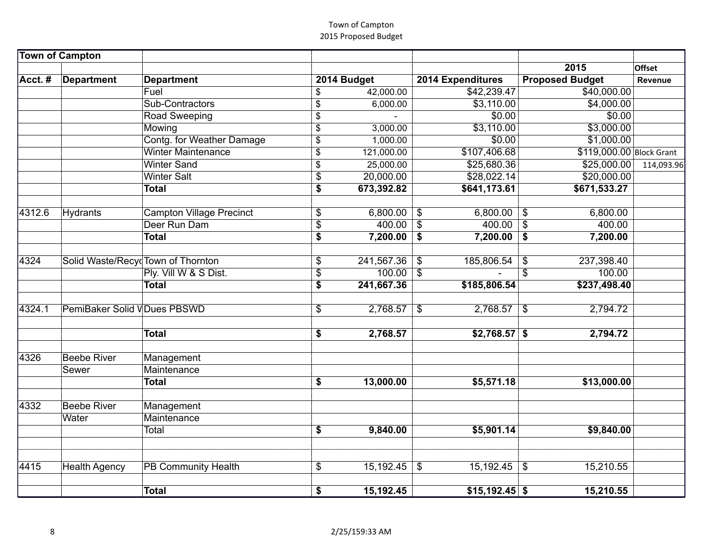|                    | Fuel                                                | \$                                                                                                                                                                                                                                   | 42,000.00                                                                             |                                                                                  | \$42,239.47                                                                |                                                                          | \$40,000.00                                                                                                  |                                                                                                             |
|--------------------|-----------------------------------------------------|--------------------------------------------------------------------------------------------------------------------------------------------------------------------------------------------------------------------------------------|---------------------------------------------------------------------------------------|----------------------------------------------------------------------------------|----------------------------------------------------------------------------|--------------------------------------------------------------------------|--------------------------------------------------------------------------------------------------------------|-------------------------------------------------------------------------------------------------------------|
|                    | Sub-Contractors                                     | \$                                                                                                                                                                                                                                   | 6,000.00                                                                              |                                                                                  | \$3,110.00                                                                 |                                                                          | \$4,000.00                                                                                                   |                                                                                                             |
|                    |                                                     |                                                                                                                                                                                                                                      |                                                                                       |                                                                                  |                                                                            |                                                                          |                                                                                                              |                                                                                                             |
|                    | Mowing                                              | $\overline{\mathbb{S}}$                                                                                                                                                                                                              | 3,000.00                                                                              |                                                                                  | \$3,110.00                                                                 |                                                                          | \$3,000.00                                                                                                   |                                                                                                             |
|                    | <b>Contg. for Weather Damage</b>                    | \$                                                                                                                                                                                                                                   | 1,000.00                                                                              |                                                                                  | \$0.00                                                                     |                                                                          | \$1,000.00                                                                                                   |                                                                                                             |
|                    | <b>Winter Maintenance</b>                           | \$                                                                                                                                                                                                                                   | 121,000.00                                                                            |                                                                                  | \$107,406.68                                                               |                                                                          | \$119,000.00 Block Grant                                                                                     |                                                                                                             |
|                    | <b>Winter Sand</b>                                  | \$                                                                                                                                                                                                                                   | 25,000.00                                                                             |                                                                                  | \$25,680.36                                                                |                                                                          | \$25,000.00                                                                                                  | 114,093.96                                                                                                  |
|                    | <b>Winter Salt</b>                                  | \$                                                                                                                                                                                                                                   | 20,000.00                                                                             |                                                                                  | \$28,022.14                                                                |                                                                          | \$20,000.00                                                                                                  |                                                                                                             |
|                    | <b>Total</b>                                        | \$                                                                                                                                                                                                                                   | 673,392.82                                                                            |                                                                                  | \$641,173.61                                                               |                                                                          | \$671,533.27                                                                                                 |                                                                                                             |
|                    |                                                     |                                                                                                                                                                                                                                      |                                                                                       |                                                                                  |                                                                            |                                                                          |                                                                                                              |                                                                                                             |
| Hydrants           |                                                     | \$                                                                                                                                                                                                                                   |                                                                                       | \$                                                                               |                                                                            |                                                                          |                                                                                                              |                                                                                                             |
|                    |                                                     |                                                                                                                                                                                                                                      |                                                                                       |                                                                                  |                                                                            | $\mathfrak{F}$                                                           |                                                                                                              |                                                                                                             |
|                    |                                                     |                                                                                                                                                                                                                                      |                                                                                       |                                                                                  |                                                                            |                                                                          |                                                                                                              |                                                                                                             |
|                    |                                                     |                                                                                                                                                                                                                                      |                                                                                       |                                                                                  |                                                                            |                                                                          |                                                                                                              |                                                                                                             |
|                    |                                                     | \$                                                                                                                                                                                                                                   |                                                                                       | \$                                                                               |                                                                            |                                                                          |                                                                                                              |                                                                                                             |
|                    |                                                     |                                                                                                                                                                                                                                      |                                                                                       |                                                                                  |                                                                            |                                                                          |                                                                                                              |                                                                                                             |
|                    |                                                     |                                                                                                                                                                                                                                      |                                                                                       |                                                                                  |                                                                            |                                                                          |                                                                                                              |                                                                                                             |
|                    |                                                     | \$                                                                                                                                                                                                                                   | 2,768.57                                                                              | \$                                                                               | 2,768.57                                                                   | \$                                                                       | 2,794.72                                                                                                     |                                                                                                             |
|                    | <b>Total</b>                                        | \$                                                                                                                                                                                                                                   | 2,768.57                                                                              |                                                                                  |                                                                            |                                                                          | 2,794.72                                                                                                     |                                                                                                             |
| <b>Beebe River</b> | Management                                          |                                                                                                                                                                                                                                      |                                                                                       |                                                                                  |                                                                            |                                                                          |                                                                                                              |                                                                                                             |
| Sewer              | Maintenance                                         |                                                                                                                                                                                                                                      |                                                                                       |                                                                                  |                                                                            |                                                                          |                                                                                                              |                                                                                                             |
|                    | <b>Total</b>                                        | \$                                                                                                                                                                                                                                   | 13,000.00                                                                             |                                                                                  | \$5,571.18                                                                 |                                                                          | \$13,000.00                                                                                                  |                                                                                                             |
|                    |                                                     |                                                                                                                                                                                                                                      |                                                                                       |                                                                                  |                                                                            |                                                                          |                                                                                                              |                                                                                                             |
|                    |                                                     |                                                                                                                                                                                                                                      |                                                                                       |                                                                                  |                                                                            |                                                                          |                                                                                                              |                                                                                                             |
|                    |                                                     |                                                                                                                                                                                                                                      |                                                                                       |                                                                                  |                                                                            |                                                                          |                                                                                                              |                                                                                                             |
|                    |                                                     |                                                                                                                                                                                                                                      |                                                                                       |                                                                                  |                                                                            |                                                                          |                                                                                                              |                                                                                                             |
|                    |                                                     |                                                                                                                                                                                                                                      |                                                                                       |                                                                                  |                                                                            |                                                                          |                                                                                                              |                                                                                                             |
|                    | <b>PB Community Health</b>                          | \$                                                                                                                                                                                                                                   |                                                                                       | $\boldsymbol{\mathsf{S}}$                                                        |                                                                            |                                                                          | 15,210.55                                                                                                    |                                                                                                             |
|                    | <b>Total</b>                                        |                                                                                                                                                                                                                                      |                                                                                       |                                                                                  |                                                                            |                                                                          |                                                                                                              |                                                                                                             |
|                    | <b>Beebe River</b><br>Water<br><b>Health Agency</b> | Road Sweeping<br><b>Campton Village Precinct</b><br>Deer Run Dam<br><b>Total</b><br>Solid Waste/Recyc Town of Thornton<br>Ply. Vill W & S Dist.<br><b>Total</b><br>PemiBaker Solid VDues PBSWD<br>Management<br>Maintenance<br>Total | \$<br>$\overline{\$}$<br>\$<br>\$<br>$\overline{\boldsymbol{\mathsf{s}}}$<br>\$<br>\$ | 6,800.00<br>400.00<br>7,200.00<br>241,567.36<br>100.00<br>241,667.36<br>9,840.00 | $\overline{\$}$<br>\$<br>$\overline{\mathbf{3}}$<br>15,192.45<br>15,192.45 | \$0.00<br>6,800.00<br>400.00<br>185,806.54<br>\$185,806.54<br>\$5,901.14 | $\overline{\mathcal{S}}$<br>$7,200.00$ \$<br>\$<br>\$<br>$$2,768.57$ \$<br>$15,192.45$ \$<br>$$15,192.45$ \$ | \$0.00<br>6,800.00<br>400.00<br>7,200.00<br>237,398.40<br>100.00<br>\$237,498.40<br>\$9,840.00<br>15,210.55 |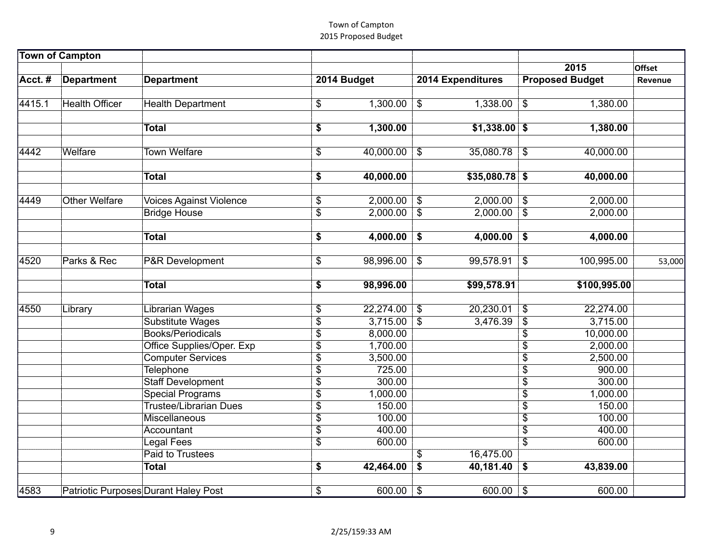| 4415.1 | <b>Health Officer</b> |                                       |                 |                       |                                                     |                       | $\overline{\mathcal{S}}$           |                       |        |
|--------|-----------------------|---------------------------------------|-----------------|-----------------------|-----------------------------------------------------|-----------------------|------------------------------------|-----------------------|--------|
|        |                       | <b>Health Department</b>              | \$              | 1,300.00              | $\overline{\mathcal{E}}$                            | 1,338.00              |                                    | 1,380.00              |        |
|        |                       | <b>Total</b>                          | \$              | 1,300.00              |                                                     | $$1,338.00$ \$        |                                    | 1,380.00              |        |
|        |                       |                                       |                 |                       |                                                     |                       |                                    |                       |        |
| 4442   | Welfare               | <b>Town Welfare</b>                   | \$              | 40,000.00             | $\$\$                                               | 35,080.78             | $\sqrt[6]{3}$                      | 40,000.00             |        |
|        |                       |                                       |                 |                       |                                                     |                       |                                    |                       |        |
|        |                       | <b>Total</b>                          | \$              | 40,000.00             |                                                     | $$35,080.78$ \$       |                                    | 40,000.00             |        |
|        |                       |                                       |                 |                       |                                                     |                       |                                    |                       |        |
| 4449   | <b>Other Welfare</b>  | <b>Voices Against Violence</b>        | \$              | 2,000.00              | $\bullet$                                           | 2,000.00              | $\overline{\mathbf{3}}$            | 2,000.00              |        |
|        |                       | <b>Bridge House</b>                   | $\overline{\$}$ | 2,000.00              | $\overline{\$}$                                     | $2,000.00$ \$         |                                    | 2,000.00              |        |
|        |                       |                                       |                 |                       |                                                     |                       |                                    |                       |        |
|        |                       | <b>Total</b>                          | \$              | 4,000.00              | \$                                                  | 4,000.00              | \$                                 | 4,000.00              |        |
|        |                       |                                       |                 |                       |                                                     |                       |                                    |                       |        |
| 4520   | Parks & Rec           | <b>P&amp;R</b> Development            | \$              | 98,996.00             | $\$\$                                               | 99,578.91             | $\boldsymbol{\mathcal{F}}$         | 100,995.00            | 53,000 |
|        |                       |                                       |                 |                       |                                                     |                       |                                    |                       |        |
|        |                       | <b>Total</b>                          | \$              | 98,996.00             |                                                     | \$99,578.91           |                                    | \$100,995.00          |        |
|        |                       |                                       |                 |                       |                                                     |                       |                                    |                       |        |
| 4550   | Library               | Librarian Wages                       | \$              | 22,274.00<br>3,715.00 | $\overline{\mathbf{3}}$<br>$\overline{\mathcal{S}}$ | 20,230.01<br>3,476.39 | \$                                 | 22,274.00<br>3,715.00 |        |
|        |                       | Substitute Wages<br>Books/Periodicals | $\overline{\$}$ | 8,000.00              |                                                     |                       | $\overline{\$}$<br>$\overline{\$}$ |                       |        |
|        |                       |                                       | \$              |                       |                                                     |                       |                                    | 10,000.00             |        |
|        |                       | Office Supplies/Oper. Exp             | \$              | 1,700.00              |                                                     |                       | \$                                 | 2,000.00              |        |
|        |                       | <b>Computer Services</b>              | \$              | 3,500.00              |                                                     |                       | \$                                 | 2,500.00              |        |
|        |                       | <b>Telephone</b>                      | $\overline{\$}$ | 725.00                |                                                     |                       | $\overline{\$}$                    | 900.00                |        |
|        |                       | <b>Staff Development</b>              | \$              | 300.00                |                                                     |                       | $\overline{\$}$                    | 300.00                |        |
|        |                       | <b>Special Programs</b>               | $\overline{\$}$ | 1,000.00              |                                                     |                       | $\overline{\$}$                    | 1,000.00              |        |
|        |                       | <b>Trustee/Librarian Dues</b>         | $\overline{\$}$ | 150.00                |                                                     |                       | $\overline{\$}$                    | 150.00                |        |
|        |                       | Miscellaneous                         | $\overline{\$}$ | 100.00                |                                                     |                       | $\overline{\$}$                    | 100.00                |        |
|        |                       | Accountant                            | $\overline{\$}$ | 400.00                |                                                     |                       | $\overline{\$}$                    | 400.00                |        |
|        |                       | Legal Fees                            | $\overline{\$}$ | 600.00                |                                                     |                       | $\overline{\$}$                    | 600.00                |        |
|        |                       | Paid to Trustees                      |                 |                       | \$                                                  | 16,475.00             |                                    |                       |        |
|        |                       | <b>Total</b>                          | \$              | 42,464.00             | $\overline{\boldsymbol{\mathsf{s}}}$                | 40,181.40             | \$                                 | 43,839.00             |        |
|        |                       |                                       |                 |                       |                                                     |                       |                                    |                       |        |
| 4583   |                       | Patriotic Purposes Durant Haley Post  | \$              | 600.00                | $\frac{1}{2}$                                       | 600.00                | $\overline{\mathbf{3}}$            | 600.00                |        |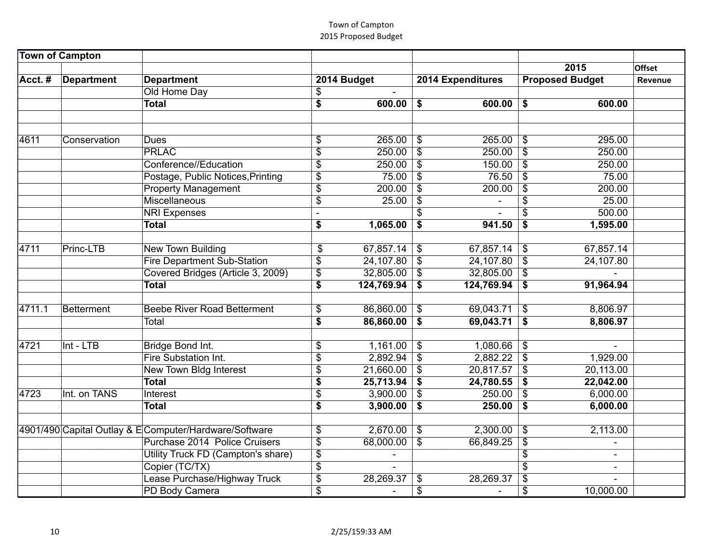|        |              | Old Home Day                                           | \$                       |            |                            |                |                            |                          |  |
|--------|--------------|--------------------------------------------------------|--------------------------|------------|----------------------------|----------------|----------------------------|--------------------------|--|
|        |              | <b>Total</b>                                           | $\overline{\$}$          | 600.00     | \$                         | $600.00$ \$    |                            | 600.00                   |  |
|        |              |                                                        |                          |            |                            |                |                            |                          |  |
|        |              |                                                        |                          |            |                            |                |                            |                          |  |
| 4611   | Conservation | <b>Dues</b>                                            | \$                       | 265.00     | \$                         | $265.00$ \$    |                            | 295.00                   |  |
|        |              | <b>PRLAC</b>                                           | \$                       | 250.00     | $\overline{\mathcal{S}}$   | 250.00         | $\overline{\mathbf{s}}$    | 250.00                   |  |
|        |              | Conference//Education                                  | \$                       | 250.00     | $\overline{\mathcal{S}}$   | 150.00         | $\overline{\mathcal{S}}$   | 250.00                   |  |
|        |              | Postage, Public Notices, Printing                      | $\overline{\$}$          | 75.00      | $\overline{\$}$            | 76.50          | $\overline{\mathcal{S}}$   | 75.00                    |  |
|        |              | <b>Property Management</b>                             | \$                       | 200.00     | $\frac{1}{2}$              | 200.00         | $\boldsymbol{\mathsf{S}}$  | 200.00                   |  |
|        |              | Miscellaneous                                          | \$                       | 25.00      | $\overline{\$}$            |                | \$                         | 25.00                    |  |
|        |              | <b>NRI Expenses</b>                                    |                          |            |                            |                | \$                         | 500.00                   |  |
|        |              | <b>Total</b>                                           | \$                       | 1,065.00   | \$                         | 941.50         | \$                         | 1,595.00                 |  |
|        |              |                                                        |                          |            |                            |                |                            |                          |  |
| 4711   | Princ-LTB    | <b>New Town Building</b>                               | \$                       | 67,857.14  | \$                         | 67,857.14      | $\boldsymbol{\mathcal{F}}$ | 67,857.14                |  |
|        |              | <b>Fire Department Sub-Station</b>                     | \$                       | 24,107.80  | \$                         | 24,107.80      | \$                         | 24,107.80                |  |
|        |              | Covered Bridges (Article 3, 2009)                      | \$                       | 32,805.00  | \$                         | $32,805.00$ \$ |                            |                          |  |
|        |              | <b>Total</b>                                           | $\overline{\mathbf{s}}$  | 124,769.94 | \$                         | 124,769.94 \$  |                            | 91,964.94                |  |
| 4711.1 | Betterment   | <b>Beebe River Road Betterment</b>                     | \$                       | 86,860.00  | $\$\$                      | $69,043.71$ \$ |                            | 8,806.97                 |  |
|        |              | Total                                                  | \$                       | 86,860.00  | \$                         | 69,043.71      | \$                         | 8,806.97                 |  |
|        |              |                                                        |                          |            |                            |                |                            |                          |  |
| 4721   | Int - LTB    | Bridge Bond Int.                                       | \$                       | 1,161.00   | $\boldsymbol{\mathsf{\$}}$ | 1,080.66       | $\mathfrak{F}$             |                          |  |
|        |              | Fire Substation Int.                                   | \$                       | 2,892.94   | $\overline{\$}$            | $2,882.22$ \$  |                            | 1,929.00                 |  |
|        |              | <b>New Town Bldg Interest</b>                          | $\overline{\mathbb{S}}$  | 21,660.00  | $\overline{\mathcal{S}}$   | $20,817.57$ \$ |                            | 20,113.00                |  |
|        |              | <b>Total</b>                                           | \$                       | 25,713.94  | $\boldsymbol{\hat{\ast}}$  | 24,780.55 \$   |                            | 22,042.00                |  |
| 4723   | Int. on TANS | Interest                                               | \$                       | 3,900.00   | \$                         | 250.00         | $\boldsymbol{\mathsf{S}}$  | 6,000.00                 |  |
|        |              | Total                                                  | \$                       | 3,900.00   | \$                         | 250.00         | \$                         | 6,000.00                 |  |
|        |              |                                                        |                          |            |                            |                |                            |                          |  |
|        |              | 4901/490 Capital Outlay & E Computer/Hardware/Software | \$                       | 2,670.00   | $\sqrt[6]{3}$              | 2,300.00       | -\$                        | 2,113.00                 |  |
|        |              | Purchase 2014 Police Cruisers                          | $\overline{\$}$          | 68,000.00  | $\sqrt[3]{\frac{1}{2}}$    | 66,849.25      | $\boldsymbol{\mathsf{S}}$  | $\blacksquare$           |  |
|        |              | Utility Truck FD (Campton's share)                     | \$                       |            |                            |                | \$                         | $\overline{\phantom{0}}$ |  |
|        |              | Copier (TC/TX)                                         | $\overline{\mathcal{S}}$ |            |                            |                | \$                         | $\blacksquare$           |  |
|        |              | Lease Purchase/Highway Truck                           | \$                       | 28,269.37  | \$                         | 28,269.37      | S                          |                          |  |
|        |              | PD Body Camera                                         | $\overline{\$}$          |            | \$                         |                | \$                         | 10,000.00                |  |